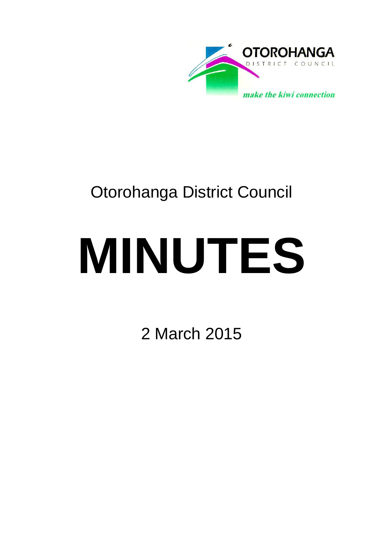

# Otorohanga District Council

# **MINUTES**

2 March 2015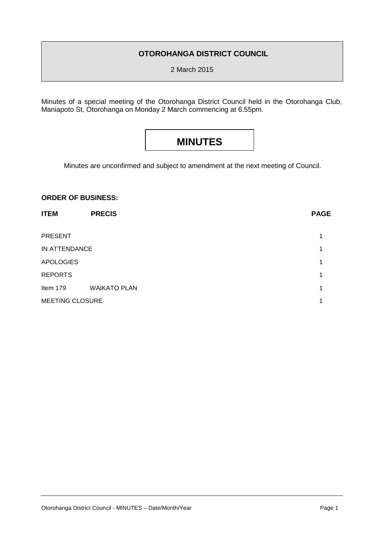#### **OTOROHANGA DISTRICT COUNCIL**

2 March 2015

Minutes of a special meeting of the Otorohanga District Council held in the Otorohanga Club, Maniapoto St, Otorohanga on Monday 2 March commencing at 6.55pm.

## **MINUTES**

Minutes are unconfirmed and subject to amendment at the next meeting of Council.

#### **ORDER OF BUSINESS:**

| <b>ITEM</b>      | <b>PRECIS</b>       | <b>PAGE</b> |
|------------------|---------------------|-------------|
| <b>PRESENT</b>   |                     | 1           |
| IN ATTENDANCE    |                     | 1           |
| <b>APOLOGIES</b> |                     | 1           |
| <b>REPORTS</b>   |                     | 1           |
| Item 179         | <b>WAIKATO PLAN</b> | 1           |
| MEETING CLOSURE  |                     |             |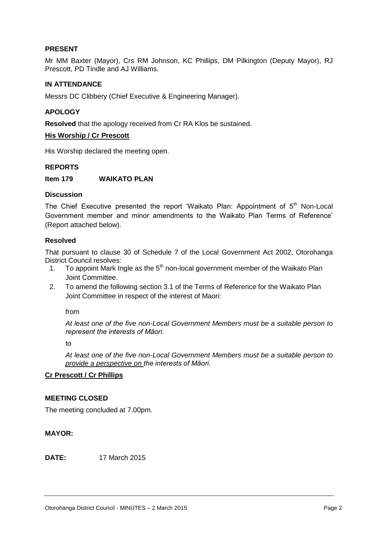#### **PRESENT**

Mr MM Baxter (Mayor), Crs RM Johnson, KC Phillips, DM Pilkington (Deputy Mayor), RJ Prescott, PD Tindle and AJ Williams.

#### **IN ATTENDANCE**

Messrs DC Clibbery (Chief Executive & Engineering Manager).

#### **APOLOGY**

**Resolved** that the apology received from Cr RA Klos be sustained.

#### **His Worship / Cr Prescott**

His Worship declared the meeting open.

#### **REPORTS**

**Item 179 WAIKATO PLAN**

#### **Discussion**

The Chief Executive presented the report 'Waikato Plan: Appointment of  $5<sup>th</sup>$  Non-Local Government member and minor amendments to the Waikato Plan Terms of Reference' (Report attached below).

#### **Resolved**

That pursuant to clause 30 of Schedule 7 of the Local Government Act 2002, Otorohanga District Council resolves:

- 1. To appoint Mark Ingle as the  $5<sup>th</sup>$  non-local government member of the Waikato Plan Joint Committee.
- 2. To amend the following section 3.1 of the Terms of Reference for the Waikato Plan Joint Committee in respect of the interest of Maori:

from

*At least one of the five non-Local Government Members must be a suitable person to represent the interests of Māori.*

to

*At least one of the five non-Local Government Members must be a suitable person to provide a perspective on the interests of Māori.*

#### **Cr Prescott / Cr Phillips**

#### **MEETING CLOSED**

The meeting concluded at 7.00pm.

#### **MAYOR:**

**DATE:** 17 March 2015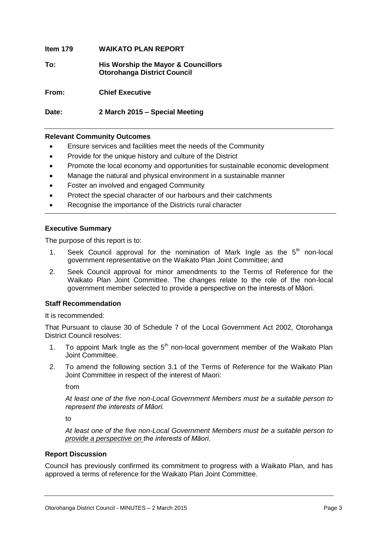## **Item 179 WAIKATO PLAN REPORT To: His Worship the Mayor & Councillors Otorohanga District Council From: Chief Executive**

**Date: 2 March 2015 – Special Meeting**

#### **Relevant Community Outcomes**

- Ensure services and facilities meet the needs of the Community
- Provide for the unique history and culture of the District
- Promote the local economy and opportunities for sustainable economic development
- Manage the natural and physical environment in a sustainable manner
- Foster an involved and engaged Community
- Protect the special character of our harbours and their catchments
- Recognise the importance of the Districts rural character

#### **Executive Summary**

The purpose of this report is to:

- 1. Seek Council approval for the nomination of Mark Ingle as the  $5<sup>th</sup>$  non-local government representative on the Waikato Plan Joint Committee; and
- 2. Seek Council approval for minor amendments to the Terms of Reference for the Waikato Plan Joint Committee. The changes relate to the role of the non-local government member selected to provide a perspective on the interests of Māori.

#### **Staff Recommendation**

It is recommended:

That Pursuant to clause 30 of Schedule 7 of the Local Government Act 2002, Otorohanga District Council resolves:

- 1. To appoint Mark Ingle as the  $5<sup>th</sup>$  non-local government member of the Waikato Plan Joint Committee.
- 2. To amend the following section 3.1 of the Terms of Reference for the Waikato Plan Joint Committee in respect of the interest of Maori:

from

*At least one of the five non-Local Government Members must be a suitable person to represent the interests of Māori.*

to

*At least one of the five non-Local Government Members must be a suitable person to provide a perspective on the interests of Māori.*

#### **Report Discussion**

Council has previously confirmed its commitment to progress with a Waikato Plan, and has approved a terms of reference for the Waikato Plan Joint Committee.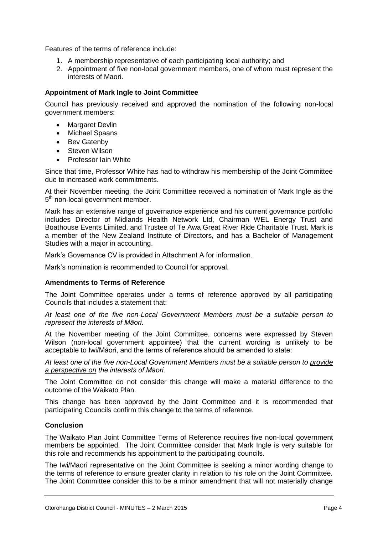Features of the terms of reference include:

- 1. A membership representative of each participating local authority; and
- 2. Appointment of five non-local government members, one of whom must represent the interests of Maori.

#### **Appointment of Mark Ingle to Joint Committee**

Council has previously received and approved the nomination of the following non-local government members:

- Margaret Devlin
- Michael Spaans
- Bev Gatenby
- Steven Wilson
- Professor Iain White

Since that time, Professor White has had to withdraw his membership of the Joint Committee due to increased work commitments.

At their November meeting, the Joint Committee received a nomination of Mark Ingle as the 5<sup>th</sup> non-local government member.

Mark has an extensive range of governance experience and his current governance portfolio includes Director of Midlands Health Network Ltd, Chairman WEL Energy Trust and Boathouse Events Limited, and Trustee of Te Awa Great River Ride Charitable Trust. Mark is a member of the New Zealand Institute of Directors, and has a Bachelor of Management Studies with a major in accounting.

Mark's Governance CV is provided in Attachment A for information.

Mark's nomination is recommended to Council for approval.

#### **Amendments to Terms of Reference**

The Joint Committee operates under a terms of reference approved by all participating Councils that includes a statement that:

*At least one of the five non-Local Government Members must be a suitable person to represent the interests of Māori.*

At the November meeting of the Joint Committee, concerns were expressed by Steven Wilson (non-local government appointee) that the current wording is unlikely to be acceptable to Iwi/Māori, and the terms of reference should be amended to state:

*At least one of the five non-Local Government Members must be a suitable person to provide a perspective on the interests of Māori.*

The Joint Committee do not consider this change will make a material difference to the outcome of the Waikato Plan.

This change has been approved by the Joint Committee and it is recommended that participating Councils confirm this change to the terms of reference.

#### **Conclusion**

The Waikato Plan Joint Committee Terms of Reference requires five non-local government members be appointed. The Joint Committee consider that Mark Ingle is very suitable for this role and recommends his appointment to the participating councils.

The Iwi/Maori representative on the Joint Committee is seeking a minor wording change to the terms of reference to ensure greater clarity in relation to his role on the Joint Committee. The Joint Committee consider this to be a minor amendment that will not materially change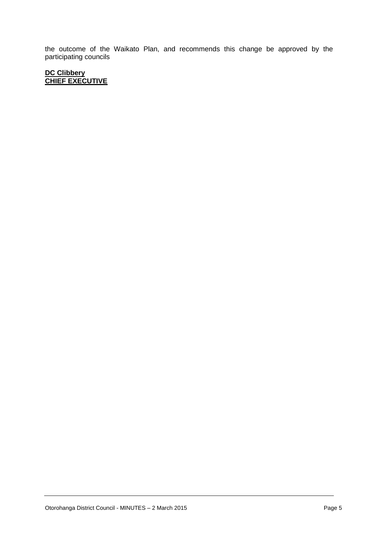the outcome of the Waikato Plan, and recommends this change be approved by the participating councils

#### **DC Clibbery CHIEF EXECUTIVE**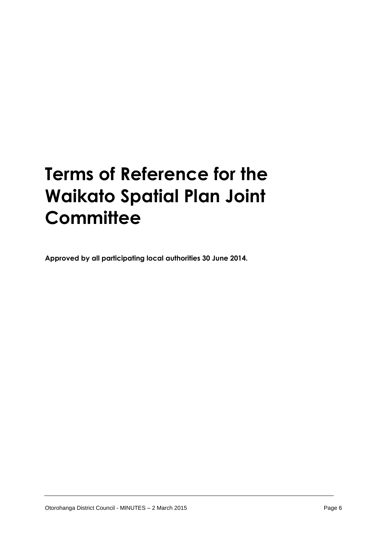# **Terms of Reference for the Waikato Spatial Plan Joint Committee**

**Approved by all participating local authorities 30 June 2014.**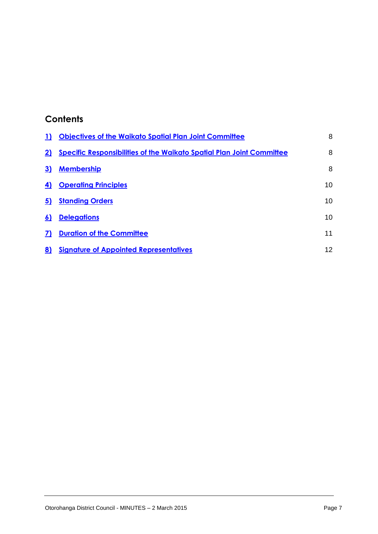### **Contents**

| $\mathbf{D}$ | <b>Objectives of the Waikato Spatial Plan Joint Committee</b>                | 8               |
|--------------|------------------------------------------------------------------------------|-----------------|
| 2)           | <b>Specific Responsibilities of the Waikato Spatial Plan Joint Committee</b> | 8               |
| 3)           | <b>Membership</b>                                                            | 8               |
| 4)           | <b>Operating Principles</b>                                                  | 10              |
| 5)           | <b>Standing Orders</b>                                                       | 10              |
| 6)           | <b>Delegations</b>                                                           | 10 <sup>1</sup> |
| 7)           | <b>Duration of the Committee</b>                                             | 11              |
| 8)           | <b>Signature of Appointed Representatives</b>                                | 12 <sup>2</sup> |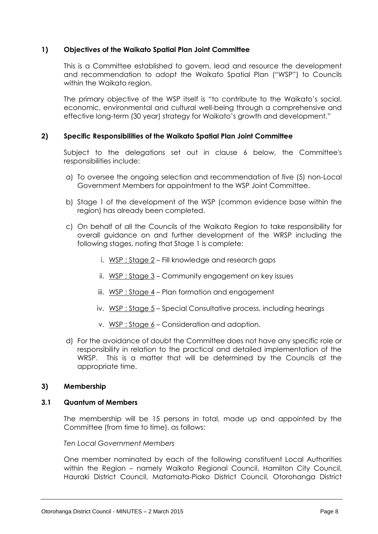#### <span id="page-8-0"></span>**1) Objectives of the Waikato Spatial Plan Joint Committee**

This is a Committee established to govern, lead and resource the development and recommendation to adopt the Waikato Spatial Plan ("WSP") to Councils within the Waikato region.

The primary objective of the WSP itself is "to contribute to the Waikato's social, economic, environmental and cultural well-being through a comprehensive and effective long-term (30 year) strategy for Waikato's growth and development."

#### <span id="page-8-1"></span>**2) Specific Responsibilities of the Waikato Spatial Plan Joint Committee**

Subject to the delegations set out in clause 6 below, the Committee's responsibilities include:

- a) To oversee the ongoing selection and recommendation of five (5) non-Local Government Members for appointment to the WSP Joint Committee.
- b) Stage 1 of the development of the WSP (common evidence base within the region) has already been completed.
- c) On behalf of all the Councils of the Waikato Region to take responsibility for overall guidance on and further development of the WRSP including the following stages, noting that Stage 1 is complete:
	- i.  $WSP: Stage 2 Fill knowledge and research gaps$
	- ii.  $WSP: Stage 3$  Community engagement on key issues
	- iii.  $WSP: Stage 4$  Plan formation and engagement
	- iv.  $WSP: Stage 5 Special Convultative process, including hearings$
	- v. WSP : Stage 6 Consideration and adoption.
- d) For the avoidance of doubt the Committee does not have any specific role or responsibility in relation to the practical and detailed implementation of the WRSP. This is a matter that will be determined by the Councils at the appropriate time.

#### <span id="page-8-2"></span>**3) Membership**

#### **3.1 Quantum of Members**

The membership will be 15 persons in total, made up and appointed by the Committee (from time to time), as follows:

*Ten Local Government Members*

One member nominated by each of the following constituent Local Authorities within the Region – namely Waikato Regional Council, Hamilton City Council, Hauraki District Council, Matamata-Piako District Council, Otorohanga District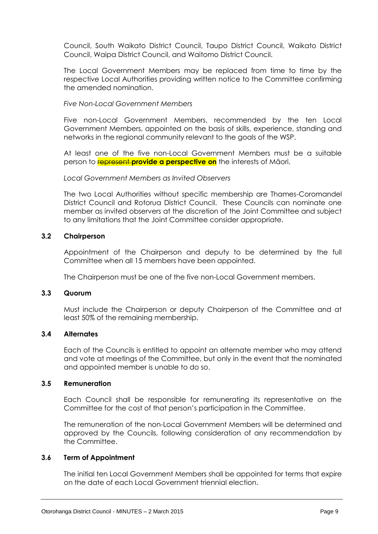Council, South Waikato District Council, Taupo District Council, Waikato District Council, Waipa District Council, and Waitomo District Council.

The Local Government Members may be replaced from time to time by the respective Local Authorities providing written notice to the Committee confirming the amended nomination.

#### *Five Non-Local Government Members*

Five non-Local Government Members, recommended by the ten Local Government Members, appointed on the basis of skills, experience, standing and networks in the regional community relevant to the goals of the WSP.

At least one of the five non-Local Government Members must be a suitable person to represent **provide a perspective on** the interests of Māori.

#### *Local Government Members as Invited Observers*

The two Local Authorities without specific membership are Thames-Coromandel District Council and Rotorua District Council. These Councils can nominate one member as invited observers at the discretion of the Joint Committee and subject to any limitations that the Joint Committee consider appropriate.

#### **3.2 Chairperson**

Appointment of the Chairperson and deputy to be determined by the full Committee when all 15 members have been appointed.

The Chairperson must be one of the five non-Local Government members.

#### **3.3 Quorum**

Must include the Chairperson or deputy Chairperson of the Committee and at least 50% of the remaining membership.

#### **3.4 Alternates**

Each of the Councils is entitled to appoint an alternate member who may attend and vote at meetings of the Committee, but only in the event that the nominated and appointed member is unable to do so.

#### **3.5 Remuneration**

Each Council shall be responsible for remunerating its representative on the Committee for the cost of that person's participation in the Committee.

The remuneration of the non-Local Government Members will be determined and approved by the Councils, following consideration of any recommendation by the Committee.

#### **3.6 Term of Appointment**

The initial ten Local Government Members shall be appointed for terms that expire on the date of each Local Government triennial election.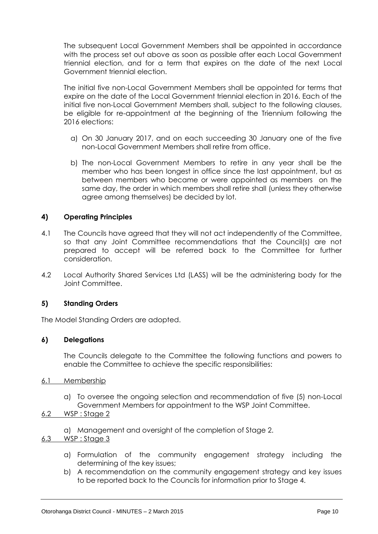The subsequent Local Government Members shall be appointed in accordance with the process set out above as soon as possible after each Local Government triennial election, and for a term that expires on the date of the next Local Government triennial election.

The initial five non-Local Government Members shall be appointed for terms that expire on the date of the Local Government triennial election in 2016. Each of the initial five non-Local Government Members shall, subject to the following clauses, be eligible for re-appointment at the beginning of the Triennium following the 2016 elections:

- a) On 30 January 2017, and on each succeeding 30 January one of the five non-Local Government Members shall retire from office.
- b) The non-Local Government Members to retire in any year shall be the member who has been longest in office since the last appointment, but as between members who became or were appointed as members on the same day, the order in which members shall retire shall (unless they otherwise agree among themselves) be decided by lot.

#### <span id="page-10-0"></span>**4) Operating Principles**

- 4.1 The Councils have agreed that they will not act independently of the Committee, so that any Joint Committee recommendations that the Council(s) are not prepared to accept will be referred back to the Committee for further consideration.
- 4.2 Local Authority Shared Services Ltd (LASS) will be the administering body for the Joint Committee.

#### <span id="page-10-1"></span>**5) Standing Orders**

The Model Standing Orders are adopted.

#### <span id="page-10-2"></span>**6) Delegations**

The Councils delegate to the Committee the following functions and powers to enable the Committee to achieve the specific responsibilities:

#### 6.1 Membership

a) To oversee the ongoing selection and recommendation of five (5) non-Local Government Members for appointment to the WSP Joint Committee.

#### 6.2 WSP : Stage 2

a) Management and oversight of the completion of Stage 2.

#### 6.3 WSP : Stage 3

- a) Formulation of the community engagement strategy including the determining of the key issues;
- b) A recommendation on the community engagement strategy and key issues to be reported back to the Councils for information prior to Stage 4.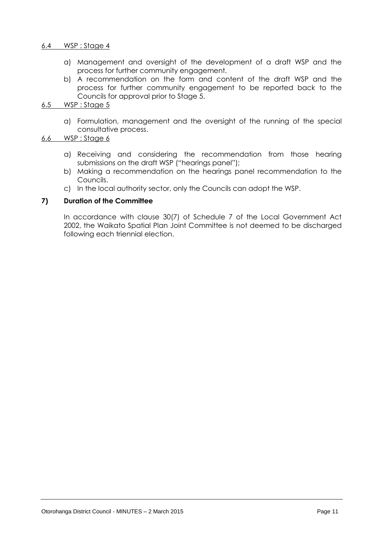#### 6.4 WSP : Stage 4

- a) Management and oversight of the development of a draft WSP and the process for further community engagement.
- b) A recommendation on the form and content of the draft WSP and the process for further community engagement to be reported back to the Councils for approval prior to Stage 5.

#### 6.5 WSP : Stage 5

a) Formulation, management and the oversight of the running of the special consultative process.

#### 6.6 WSP : Stage 6

- a) Receiving and considering the recommendation from those hearing submissions on the draft WSP ("hearings panel");
- b) Making a recommendation on the hearings panel recommendation to the Councils.
- c) In the local authority sector, only the Councils can adopt the WSP.

#### <span id="page-11-0"></span>**7) Duration of the Committee**

<span id="page-11-1"></span>In accordance with clause 30(7) of Schedule 7 of the Local Government Act 2002, the Waikato Spatial Plan Joint Committee is not deemed to be discharged following each triennial election.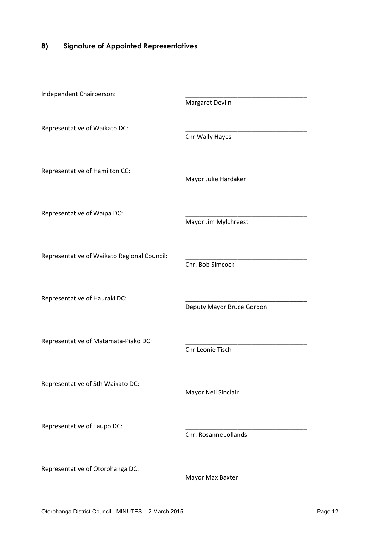#### **8) Signature of Appointed Representatives**

| Independent Chairperson:                    | Margaret Devlin           |
|---------------------------------------------|---------------------------|
| Representative of Waikato DC:               | Cnr Wally Hayes           |
| Representative of Hamilton CC:              | Mayor Julie Hardaker      |
| Representative of Waipa DC:                 | Mayor Jim Mylchreest      |
| Representative of Waikato Regional Council: | Cnr. Bob Simcock          |
| Representative of Hauraki DC:               | Deputy Mayor Bruce Gordon |
| Representative of Matamata-Piako DC:        | Cnr Leonie Tisch          |
| Representative of Sth Waikato DC:           | Mayor Neil Sinclair       |
| Representative of Taupo DC:                 | Cnr. Rosanne Jollands     |
| Representative of Otorohanga DC:            | Mayor Max Baxter          |